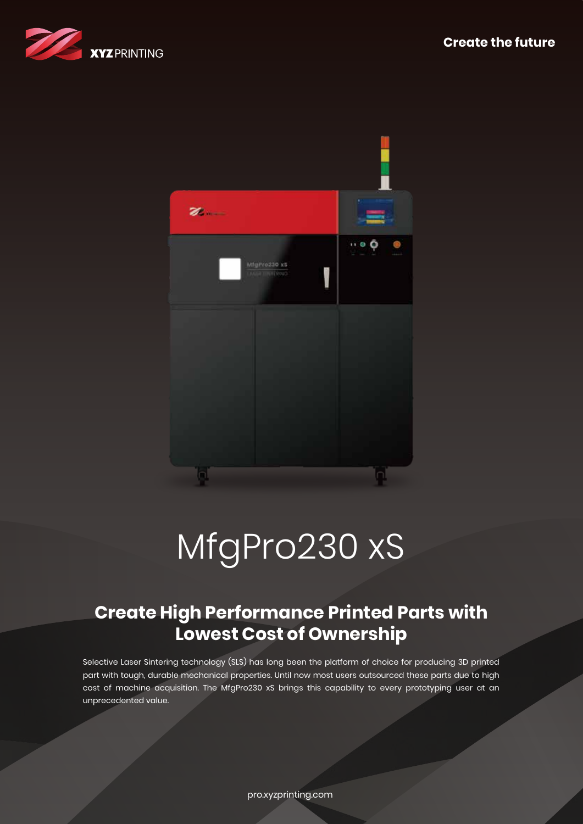



# MfgPro230 xS

## **Create High Performance Printed Parts with Lowest Cost of Ownership**

Selective Laser Sintering technology (SLS) has long been the platform of choice for producing 3D printed part with tough, durable mechanical properties. Until now most users outsourced these parts due to high cost of machine acquisition. The MfgPro230 xS brings this capability to every prototyping user at an unprecedented value.

pro.xyzprinting.com